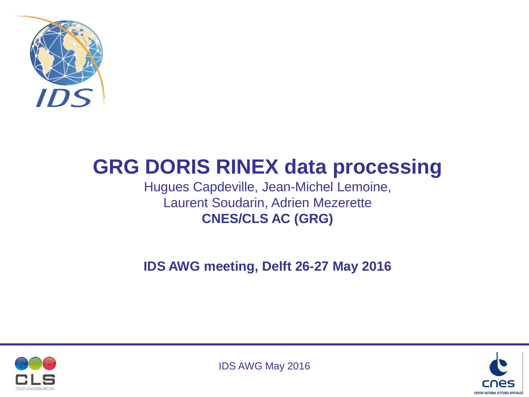

# **GRG DORIS RINEX data processing**

Hugues Capdeville, Jean-Michel Lemoine, Laurent Soudarin, Adrien Mezerette **CNES/CLS AC (GRG)**

**IDS AWG meeting, Delft 26-27 May 2016**



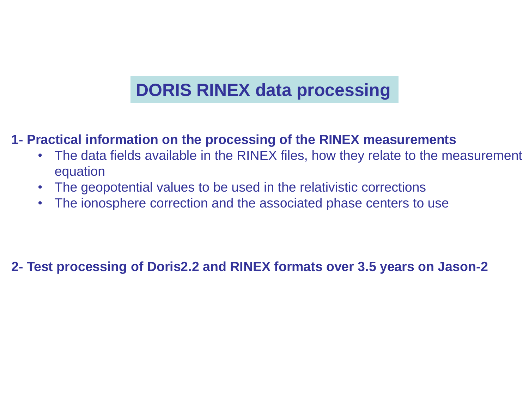# **DORIS RINEX data processing**

### **1- Practical information on the processing of the RINEX measurements**

- The data fields available in the RINEX files, how they relate to the measurement equation
- The geopotential values to be used in the relativistic corrections
- The ionosphere correction and the associated phase centers to use

**2- Test processing of Doris2.2 and RINEX formats over 3.5 years on Jason-2**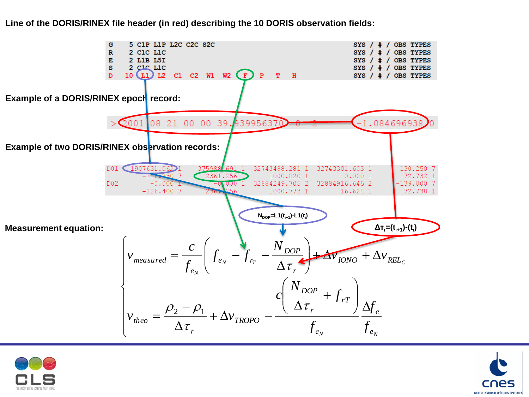### 5 C1P L1P L2C C2C S2C G SYS  $/$  #  $/$  OBS TYPES  $\mathbb{R}$ 2 C1C L1C SYS / # / OBS TYPES 2 L1B L5I к SYS / # / OBS TYPES  $\mathbf{s}$ 2 C<sub>1</sub>C L<sub>1C</sub> SYS /  $#$  / OBS TYPES  $10$  (L1) L2 C1 C2 W1 W2 (F) P T H SYS /  $#$  / OBS TYPES Example of a DORIS/RINEX epoch record: 2001 08 21 00 00 39.93995637  $-1.084696938$ **Example of two DORIS/RINEX observation records:** D01 -1907631.062  $-375988$  $691 - 1$  $-130.250$  7 32743488.281 1 32743301.603 1  $-116 - 250$  7 2361.256 1000.820 1  $0.0001$ 72.732 1 32884249.705 2 32884916.645 2  $D02$  $-0.000$  $-0.0001$  $-139.0007$  $-126.400$  7 16.628 1 1000.773 1 72.738 1 **NDOP=L1(ti+1)-L1(t<sup>i</sup> )** $\Delta$ **T**<sub>r</sub>=(**t**<sub>i+1</sub>)-(**t**<sub>i</sub>) *Measurement equation:*  $\int$  $\bigg($ *N*  $\setminus$ *c*  $\mathbf{r}$ *DOP*  $+\Delta v_{INO} + \Delta$ *v measured*  $=$   $\frac{c}{c}$   $\left| \int_{e_N} - \int_{r_T} - \frac{N_{DOP}}{A} \right| + \Delta V_{DNO} + \Delta V_{V}$  $=\frac{C}{f} \int_{e_N} -f_{r_T} - \frac{N_{DOP}}{\Delta \tau} + \Delta v_{INOO} + \Delta v_{REL_O}$  $f_{ex} - f$  $\left| \right|$  $\mathsf{L}$  $e_N$  *J r IONO* <sup>1</sup>  $\Delta V$ </sup>*REL*  $\Delta$ *f*  $\setminus$  $\int$  $\left| \right|$  $\tau$ *e r N*  $\vert$  $\bigg($  $\setminus$ *N r T*  $\left\{ \right.$  $\mathsf{L}$ *DOP*  $\overline{\phantom{a}}$  $\ddot{}$ *c f*  $\overline{\phantom{a}}$  $\overline{\phantom{a}}$  $\left| \right|$  $\Delta$  $\overline{a}$  $\overline{\Delta}$ *f*  $\setminus$  $\int$  $v_{theo} = \frac{\rho_2 - \rho_1}{\rho_1} + \Delta v_{TROPO} - \frac{(\Delta \tau)}{\rho_2}$  $\rho_{_2}$  –  $\rho_{_1}$  $\left| \right|$ *r e*  $=$  $+\Delta v_{\text{TROPO}}$  $f_{\text{theo}} = \frac{1}{\Delta \tau_r} + \Delta v_{TROPO} = \frac{1}{\sigma_{\text{p}} + \sigma_{\text{p}} + \sigma_{\text{p}} + \sigma_{\text{p}} + \sigma_{\text{p}} + \sigma_{\text{p}} + \sigma_{\text{p}} + \sigma_{\text{p}} + \sigma_{\text{p}} + \sigma_{\text{p}} + \sigma_{\text{p}} + \sigma_{\text{p}} + \sigma_{\text{p}} + \sigma_{\text{p}} + \sigma_{\text{p}} + \sigma_{\text{p}} + \sigma_{\text{p}} + \sigma_{\text{p}} + \sigma_{\text{p}} + \sigma_{\text{p}} + \sigma_{\text$ *TROPO*  $\Delta$  $\mathbf{I}$ *f*  $\overline{\mathcal{L}}$  $\tau$ *r e N*  $\frac{J e_N}{2}$





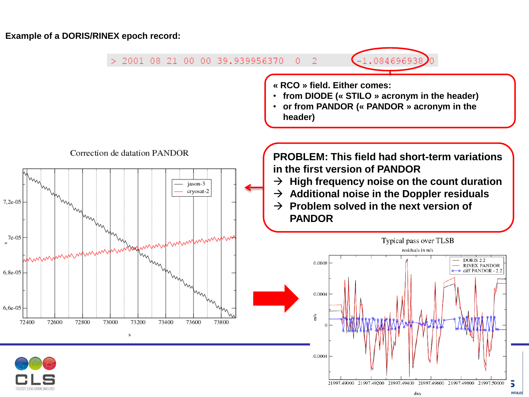**Example of a DORIS/RINEX epoch record:**

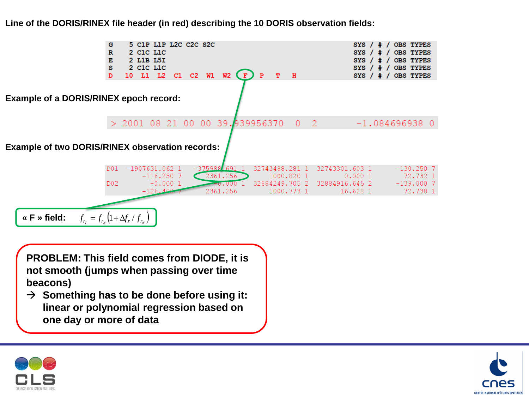

**Line of the DORIS/RINEX file header (in red) describing the 10 DORIS observation fields:**

**PROBLEM: This field comes from DIODE, it is not smooth (jumps when passing over time beacons)**

 $\rightarrow$  Something has to be done before using it: **linear or polynomial regression based on one day or more of data**



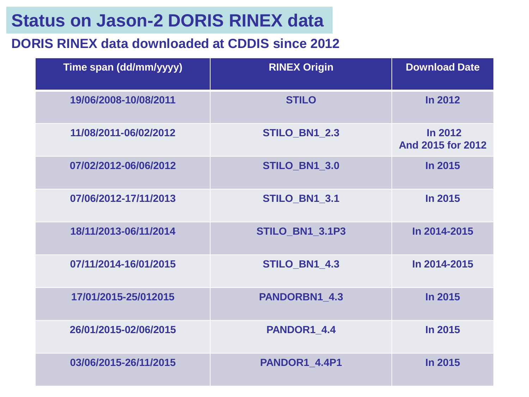## **Status on Jason-2 DORIS RINEX data**

### **DORIS RINEX data downloaded at CDDIS since 2012**

| Time span (dd/mm/yyyy) | <b>RINEX Origin</b>    | <b>Download Date</b>         |
|------------------------|------------------------|------------------------------|
| 19/06/2008-10/08/2011  | <b>STILO</b>           | In 2012                      |
| 11/08/2011-06/02/2012  | STILO BN1 2.3          | In 2012<br>And 2015 for 2012 |
| 07/02/2012-06/06/2012  | <b>STILO_BN1_3.0</b>   | <b>In 2015</b>               |
| 07/06/2012-17/11/2013  | <b>STILO_BN1_3.1</b>   | In 2015                      |
| 18/11/2013-06/11/2014  | <b>STILO BN1 3.1P3</b> | In 2014-2015                 |
| 07/11/2014-16/01/2015  | STILO BN1 4.3          | In 2014-2015                 |
| 17/01/2015-25/012015   | PANDORBN1 4.3          | In 2015                      |
| 26/01/2015-02/06/2015  | PANDOR1_4.4            | In 2015                      |
| 03/06/2015-26/11/2015  | PANDOR1 4.4P1          | In 2015                      |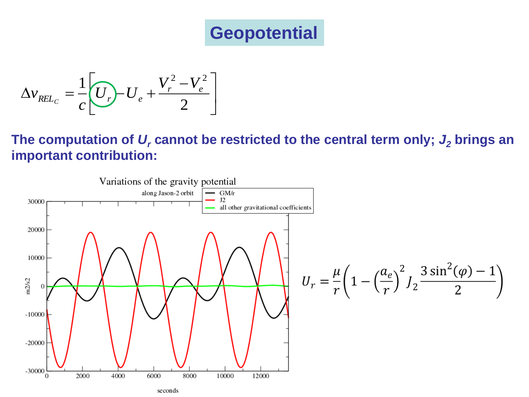# **Geopotential**

$$
\Delta v_{REL_C} = \frac{1}{c} \left[ \overline{U_r} \right] - U_e + \frac{V_r^2 - V_e^2}{2} \right]
$$

**The computation of** *U<sup>r</sup>* **cannot be restricted to the central term only;** *J<sup>2</sup>* **brings an important contribution:**

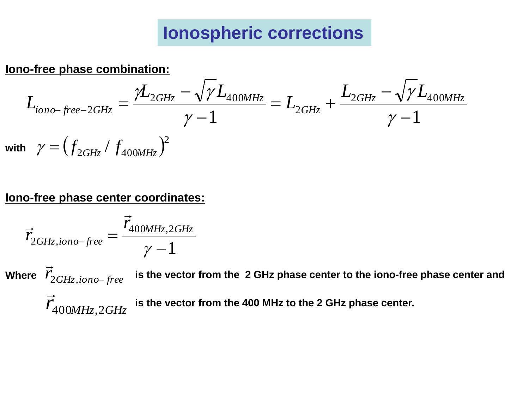# **Ionospheric corrections**

**Iono-free phase combination:**

$$
L_{iono-free-2GHz} = \frac{\gamma L_{2GHz} - \sqrt{\gamma L_{400MHz}}}{\gamma - 1} = L_{2GHz} + \frac{L_{2GHz} - \sqrt{\gamma L_{400MHz}}}{\gamma - 1}
$$
  
with  $\gamma = (f_{2GHz} / f_{400MHz})^2$ 

### **Iono-free phase center coordinates:**

$$
\vec{r}_{2GHz,iono-free} = \frac{\vec{r}_{400MHz,2GHz}}{\gamma - 1}
$$

 $\vec{r}_{2GHz,iono-free}$  $\vec{r}_{400MHz,2GHz}$  $\frac{2}{\sqrt{2}}$ **Where is the vector from the 2 GHz phase center to the iono-free phase center and is the vector from the 400 MHz to the 2 GHz phase center.**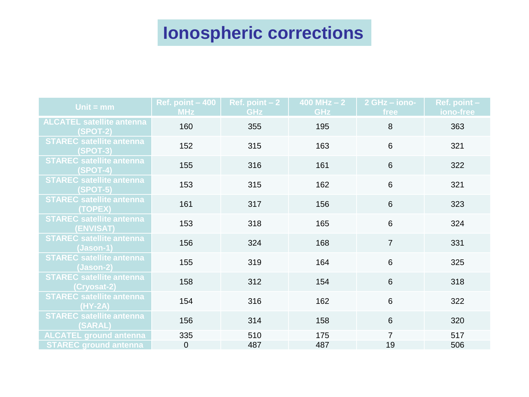# **Ionospheric corrections**

| Unit = $mm$                                         | Ref. point $-400$<br><b>MHz</b> | Ref. point $-2$<br><b>GHz</b> | 400 MHz $-2$<br><b>GHz</b> | 2 GHz - iono-<br>free | Ref. point -<br>iono-free |
|-----------------------------------------------------|---------------------------------|-------------------------------|----------------------------|-----------------------|---------------------------|
| <b>ALCATEL satellite antenna</b><br><b>(SPOT-2)</b> | 160                             | 355                           | 195                        | 8                     | 363                       |
| <b>STAREC satellite antenna</b><br><b>(SPOT-3)</b>  | 152                             | 315                           | 163                        | $6\phantom{1}$        | 321                       |
| <b>STAREC satellite antenna</b><br>$(SPOT-4)$       | 155                             | 316                           | 161                        | 6                     | 322                       |
| <b>STAREC satellite antenna</b><br>$(SPOT-5)$       | 153                             | 315                           | 162                        | $\,6$                 | 321                       |
| <b>STAREC satellite antenna</b><br>(TOPEX)          | 161                             | 317                           | 156                        | $6\phantom{a}$        | 323                       |
| <b>STAREC satellite antenna</b><br>(ENVISAT)        | 153                             | 318                           | 165                        | 6                     | 324                       |
| <b>STAREC satellite antenna</b><br>$(Jason-1)$      | 156                             | 324                           | 168                        | $\overline{7}$        | 331                       |
| <b>STAREC satellite antenna</b><br>(Jason-2)        | 155                             | 319                           | 164                        | 6                     | 325                       |
| <b>STAREC satellite antenna</b><br>(Cryosat-2)      | 158                             | 312                           | 154                        | 6                     | 318                       |
| <b>STAREC satellite antenna</b><br>$(HY-2A)$        | 154                             | 316                           | 162                        | 6                     | 322                       |
| <b>STAREC satellite antenna</b><br>(SARAL)          | 156                             | 314                           | 158                        | $6\phantom{1}$        | 320                       |
| <b>ALCATEL ground antenna</b>                       | 335                             | 510                           | 175                        | 7                     | 517                       |
| <b>STAREC ground antenna</b>                        | $\mathbf 0$                     | 487                           | 487                        | 19                    | 506                       |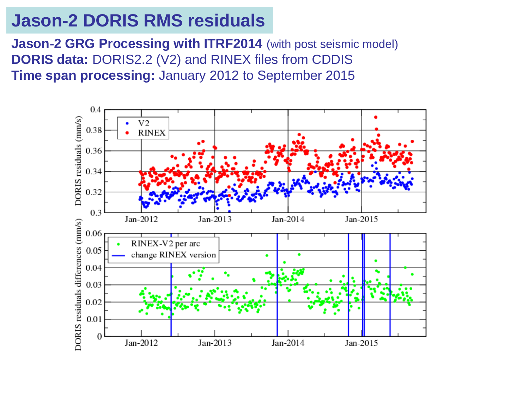### **Jason-2 DORIS RMS residuals**

**Jason-2 GRG Processing with ITRF2014** (with post seismic model) **DORIS data:** DORIS2.2 (V2) and RINEX files from CDDIS **Time span processing:** January 2012 to September 2015

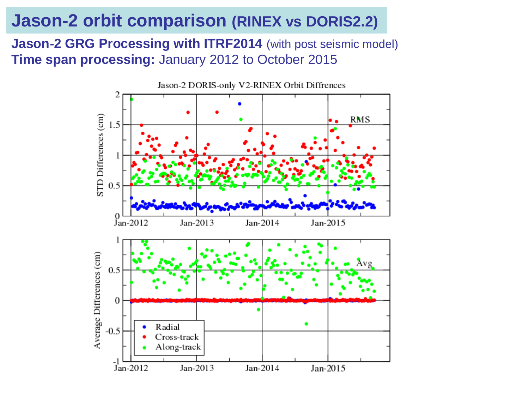### **Jason-2 orbit comparison (RINEX vs DORIS2.2)**

**Jason-2 GRG Processing with ITRF2014** (with post seismic model) **Time span processing:** January 2012 to October 2015